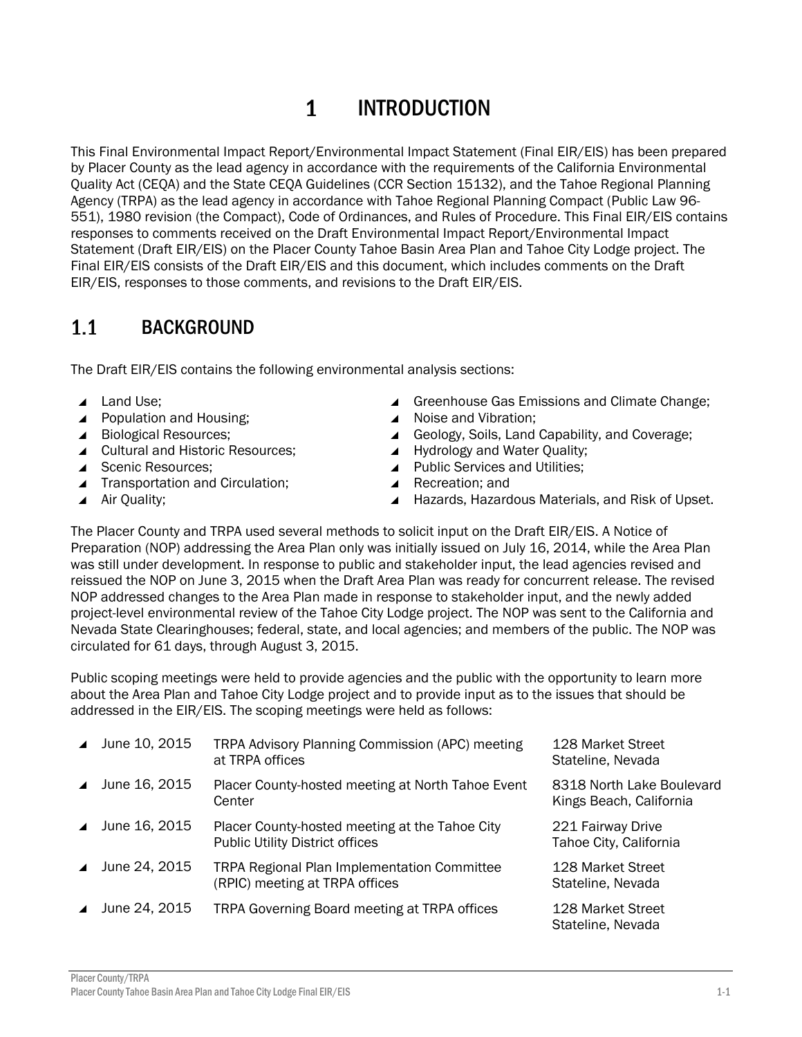Preparation (NOP) addressing the Area Plan only was initially issued on July 16, 2014, while the Area Plan was still under development. In response to public and stakeholder input, the lead agencies revised and reissued the NOP on June 3, 2015 when the Draft Area Plan was ready for concurrent release. The revised NOP addressed changes to the Area Plan made in response to stakeholder input, and the newly added project-level environmental review of the Tahoe City Lodge project. The NOP was sent to the California and Nevada State Clearinghouses; federal, state, and local agencies; and members of the public. The NOP was circulated for 61 days, through August 3, 2015.

The Placer County and TRPA used several methods to solicit input on the Draft EIR/EIS. A Notice of

Public scoping meetings were held to provide agencies and the public with the opportunity to learn more about the Area Plan and Tahoe City Lodge project and to provide input as to the issues that should be addressed in the EIR/EIS. The scoping meetings were held as follows:

| Placer County/TRPA                                                     |  |
|------------------------------------------------------------------------|--|
| Placer County Tahoe Basin Area Plan and Tahoe City Lodge Final EIR/EIS |  |

▲ June 10, 2015 TRPA Advisory Planning Commission (APC) meeting

▲ June 16, 2015 Placer County-hosted meeting at North Tahoe Event

▲ June 16, 2015 Placer County-hosted meeting at the Tahoe City Public Utility District offices

▲ June 24, 2015 TRPA Regional Plan Implementation Committee (RPIC) meeting at TRPA offices

at TRPA offices

**Center** 

#### $\mathbf{1}$ INTRODUCTION

This Final Environmental Impact Report/Environmental Impact Statement (Final EIR/EIS) has been prepared by Placer County as the lead agency in accordance with the requirements of the California Environmental Quality Act (CEQA) and the State CEQA Guidelines (CCR Section 15132), and the Tahoe Regional Planning Agency (TRPA) as the lead agency in accordance with Tahoe Regional Planning Compact (Public Law 96- 551), 1980 revision (the Compact), Code of Ordinances, and Rules of Procedure. This Final EIR/EIS contains responses to comments received on the Draft Environmental Impact Report/Environmental Impact Statement (Draft EIR/EIS) on the Placer County Tahoe Basin Area Plan and Tahoe City Lodge project. The Final EIR/EIS consists of the Draft EIR/EIS and this document, which includes comments on the Draft EIR/EIS, responses to those comments, and revisions to the Draft EIR/EIS.

#### $1.1$ BACKGROUND

The Draft EIR/EIS contains the following environmental analysis sections:

- ▲ Land Use:
- ▲ Population and Housing;
- Biological Resources:
- ▲ Cultural and Historic Resources;
- ▲ Scenic Resources:
- ▲ Transportation and Circulation;
- ▲ Air Quality;
- ▲ Greenhouse Gas Emissions and Climate Change;
- ▲ Noise and Vibration;
- ▲ Geology, Soils, Land Capability, and Coverage;
- ▲ Hydrology and Water Quality;
- ▲ Public Services and Utilities:
- ▲ Recreation; and
- ▲ Hazards, Hazardous Materials, and Risk of Upset.

8318 North Lake Boulevard Kings Beach, California

221 Fairway Drive Tahoe City, California

128 Market Street Stateline, Nevada

128 Market Street Stateline, Nevada

▲ June 24, 2015 TRPA Governing Board meeting at TRPA offices 128 Market Street Stateline, Nevada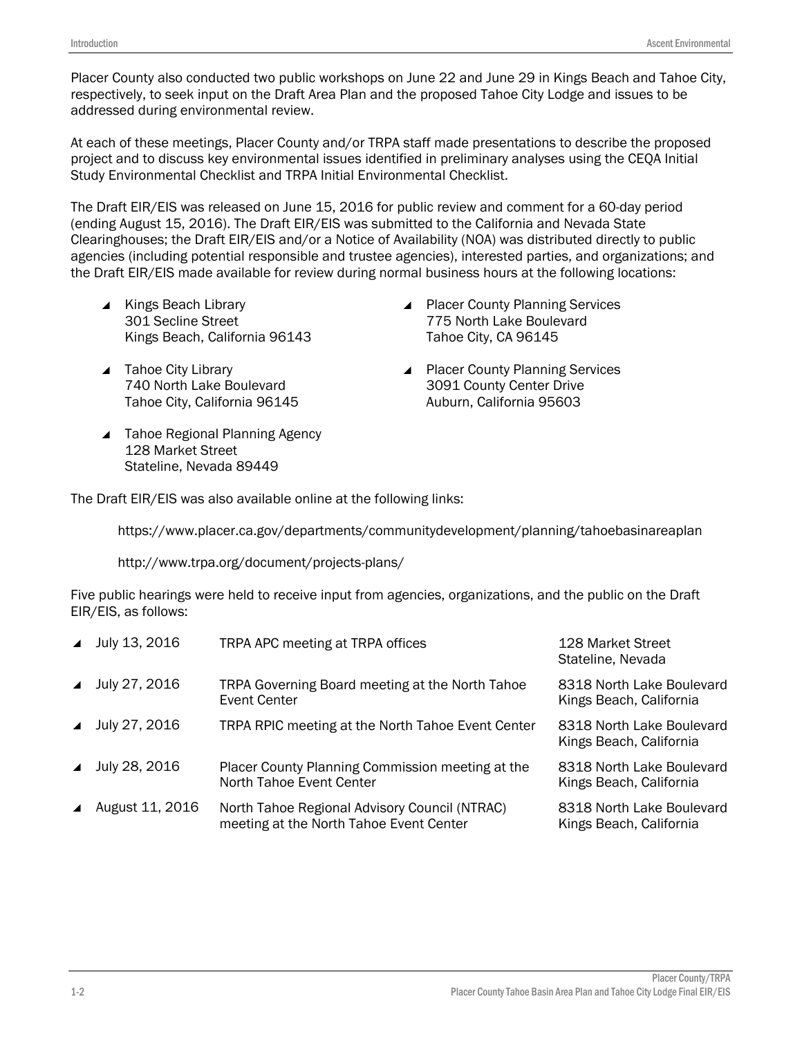Placer County also conducted two public workshops on June 22 and June 29 in Kings Beach and Tahoe City, respectively, to seek input on the Draft Area Plan and the proposed Tahoe City Lodge and issues to be addressed during environmental review.

At each of these meetings, Placer County and/or TRPA staff made presentations to describe the proposed project and to discuss key environmental issues identified in preliminary analyses using the CEQA Initial Study Environmental Checklist and TRPA Initial Environmental Checklist.

The Draft EIR/EIS was released on June 15, 2016 for public review and comment for a 60-day period (ending August 15, 2016). The Draft EIR/EIS was submitted to the California and Nevada State Clearinghouses; the Draft EIR/EIS and/or a Notice of Availability (NOA) was distributed directly to public agencies (including potential responsible and trustee agencies), interested parties, and organizations; and the Draft EIR/EIS made available for review during normal business hours at the following locations:

- $\blacktriangle$  Kings Beach Library 301 Secline Street Kings Beach, California 96143
- ▲ Placer County Planning Services 775 North Lake Boulevard Tahoe City, CA 96145

▲ Placer County Planning Services 3091 County Center Drive Auburn, California 95603

- ▲ Tahoe City Library 740 North Lake Boulevard Tahoe City, California 96145
- ▲ Tahoe Regional Planning Agency 128 Market Street Stateline, Nevada 89449

The Draft EIR/EIS was also available online at the following links:

<https://www.placer.ca.gov/departments/communitydevelopment/planning/tahoebasinareaplan>

http://www.trpa.org/document/projects-plans/

Five public hearings were held to receive input from agencies, organizations, and the public on the Draft EIR/EIS, as follows:

| $\blacktriangle$ | July 13, 2016   | TRPA APC meeting at TRPA offices                                                         | 128 Market Street<br>Stateline, Nevada               |
|------------------|-----------------|------------------------------------------------------------------------------------------|------------------------------------------------------|
| $\blacktriangle$ | July 27, 2016   | TRPA Governing Board meeting at the North Tahoe<br><b>Event Center</b>                   | 8318 North Lake Boulevard<br>Kings Beach, California |
| $\blacktriangle$ | July 27, 2016   | TRPA RPIC meeting at the North Tahoe Event Center                                        | 8318 North Lake Boulevard<br>Kings Beach, California |
| $\blacktriangle$ | July 28, 2016   | Placer County Planning Commission meeting at the<br>North Tahoe Event Center             | 8318 North Lake Boulevard<br>Kings Beach, California |
| $\blacktriangle$ | August 11, 2016 | North Tahoe Regional Advisory Council (NTRAC)<br>meeting at the North Tahoe Event Center | 8318 North Lake Boulevard<br>Kings Beach, California |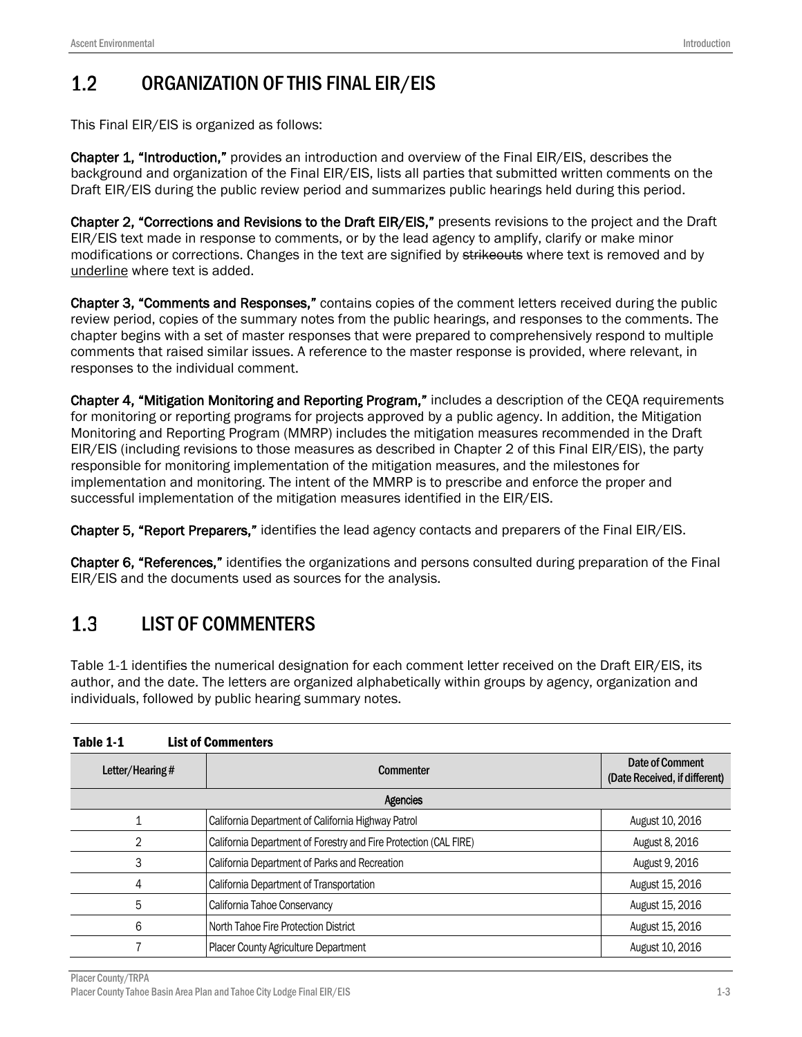#### $1.2$ ORGANIZATION OF THIS FINAL EIR/EIS

This Final EIR/EIS is organized as follows:

Chapter 1, "Introduction," provides an introduction and overview of the Final EIR/EIS, describes the background and organization of the Final EIR/EIS, lists all parties that submitted written comments on the Draft EIR/EIS during the public review period and summarizes public hearings held during this period.

Chapter 2, "Corrections and Revisions to the Draft EIR/EIS," presents revisions to the project and the Draft EIR/EIS text made in response to comments, or by the lead agency to amplify, clarify or make minor modifications or corrections. Changes in the text are signified by strikeouts where text is removed and by underline where text is added.

Chapter 3, "Comments and Responses," contains copies of the comment letters received during the public review period, copies of the summary notes from the public hearings, and responses to the comments. The chapter begins with a set of master responses that were prepared to comprehensively respond to multiple comments that raised similar issues. A reference to the master response is provided, where relevant, in responses to the individual comment.

Chapter 4, "Mitigation Monitoring and Reporting Program," includes a description of the CEQA requirements for monitoring or reporting programs for projects approved by a public agency. In addition, the Mitigation Monitoring and Reporting Program (MMRP) includes the mitigation measures recommended in the Draft EIR/EIS (including revisions to those measures as described in Chapter 2 of this Final EIR/EIS), the party responsible for monitoring implementation of the mitigation measures, and the milestones for implementation and monitoring. The intent of the MMRP is to prescribe and enforce the proper and successful implementation of the mitigation measures identified in the EIR/EIS.

Chapter 5, "Report Preparers," identifies the lead agency contacts and preparers of the Final EIR/EIS.

Chapter 6, "References," identifies the organizations and persons consulted during preparation of the Final EIR/EIS and the documents used as sources for the analysis.

#### $1.3$ LIST OF COMMENTERS

Table 1-1 identifies the numerical designation for each comment letter received on the Draft EIR/EIS, its author, and the date. The letters are organized alphabetically within groups by agency, organization and individuals, followed by public hearing summary notes.

<span id="page-2-0"></span>

| Table 1-1       | <b>List of Commenters</b>                                        |                                                  |  |
|-----------------|------------------------------------------------------------------|--------------------------------------------------|--|
| Letter/Hearing# | <b>Commenter</b>                                                 | Date of Comment<br>(Date Received, if different) |  |
| <b>Agencies</b> |                                                                  |                                                  |  |
|                 | California Department of California Highway Patrol               | August 10, 2016                                  |  |
|                 | California Department of Forestry and Fire Protection (CAL FIRE) | August 8, 2016                                   |  |
| 3               | California Department of Parks and Recreation                    | August 9, 2016                                   |  |
| 4               | California Department of Transportation                          | August 15, 2016                                  |  |
| 5               | California Tahoe Conservancy                                     | August 15, 2016                                  |  |
| 6               | North Tahoe Fire Protection District                             | August 15, 2016                                  |  |
|                 | Placer County Agriculture Department                             | August 10, 2016                                  |  |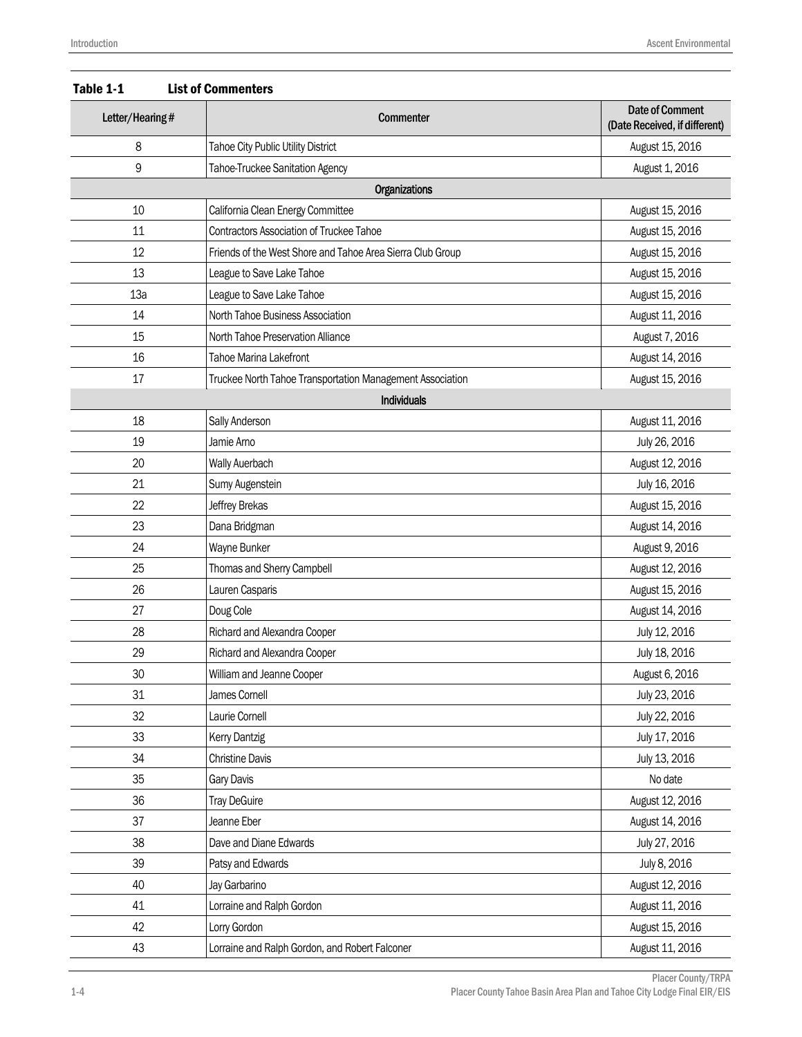| Table 1-1<br><b>List of Commenters</b> |                                                            |                                                         |  |
|----------------------------------------|------------------------------------------------------------|---------------------------------------------------------|--|
| Letter/Hearing#                        | <b>Commenter</b>                                           | <b>Date of Comment</b><br>(Date Received, if different) |  |
| 8                                      | Tahoe City Public Utility District                         | August 15, 2016                                         |  |
| 9                                      | Tahoe-Truckee Sanitation Agency                            | August 1, 2016                                          |  |
|                                        | Organizations                                              |                                                         |  |
| 10                                     | California Clean Energy Committee                          | August 15, 2016                                         |  |
| 11                                     | <b>Contractors Association of Truckee Tahoe</b>            | August 15, 2016                                         |  |
| 12                                     | Friends of the West Shore and Tahoe Area Sierra Club Group | August 15, 2016                                         |  |
| 13                                     | League to Save Lake Tahoe                                  | August 15, 2016                                         |  |
| 13a                                    | League to Save Lake Tahoe                                  | August 15, 2016                                         |  |
| 14                                     | North Tahoe Business Association                           | August 11, 2016                                         |  |
| 15                                     | North Tahoe Preservation Alliance                          | August 7, 2016                                          |  |
| 16                                     | Tahoe Marina Lakefront                                     | August 14, 2016                                         |  |
| 17                                     | Truckee North Tahoe Transportation Management Association  | August 15, 2016                                         |  |
|                                        | <b>Individuals</b>                                         |                                                         |  |
| 18                                     | Sally Anderson                                             | August 11, 2016                                         |  |
| 19                                     | Jamie Arno                                                 | July 26, 2016                                           |  |
| 20                                     | Wally Auerbach                                             | August 12, 2016                                         |  |
| 21                                     | Sumy Augenstein                                            | July 16, 2016                                           |  |
| 22                                     | Jeffrey Brekas                                             | August 15, 2016                                         |  |
| 23                                     | Dana Bridgman                                              | August 14, 2016                                         |  |
| 24                                     | Wayne Bunker                                               | August 9, 2016                                          |  |
| 25                                     | Thomas and Sherry Campbell                                 | August 12, 2016                                         |  |
| 26                                     | Lauren Casparis                                            | August 15, 2016                                         |  |
| 27                                     | Doug Cole                                                  | August 14, 2016                                         |  |
| 28                                     | Richard and Alexandra Cooper                               | July 12, 2016                                           |  |
| 29                                     | Richard and Alexandra Cooper                               | July 18, 2016                                           |  |
| 30                                     | William and Jeanne Cooper                                  | August 6, 2016                                          |  |
| 31                                     | James Cornell                                              | July 23, 2016                                           |  |
| 32                                     | Laurie Cornell                                             | July 22, 2016                                           |  |
| 33                                     | <b>Kerry Dantzig</b>                                       | July 17, 2016                                           |  |
| 34                                     | <b>Christine Davis</b>                                     | July 13, 2016                                           |  |
| 35                                     | Gary Davis                                                 | No date                                                 |  |
| 36                                     | <b>Tray DeGuire</b>                                        | August 12, 2016                                         |  |
| 37                                     | Jeanne Eber                                                | August 14, 2016                                         |  |
| 38                                     | Dave and Diane Edwards                                     | July 27, 2016                                           |  |
| 39                                     | Patsy and Edwards                                          | July 8, 2016                                            |  |
| 40                                     | Jay Garbarino                                              | August 12, 2016                                         |  |
| 41                                     | Lorraine and Ralph Gordon                                  | August 11, 2016                                         |  |
| 42                                     | Lorry Gordon                                               | August 15, 2016                                         |  |
| 43                                     | Lorraine and Ralph Gordon, and Robert Falconer             | August 11, 2016                                         |  |

### Placer County/TRPA 1-4 Placer County Tahoe Basin Area Plan and Tahoe City Lodge Final EIR/EIS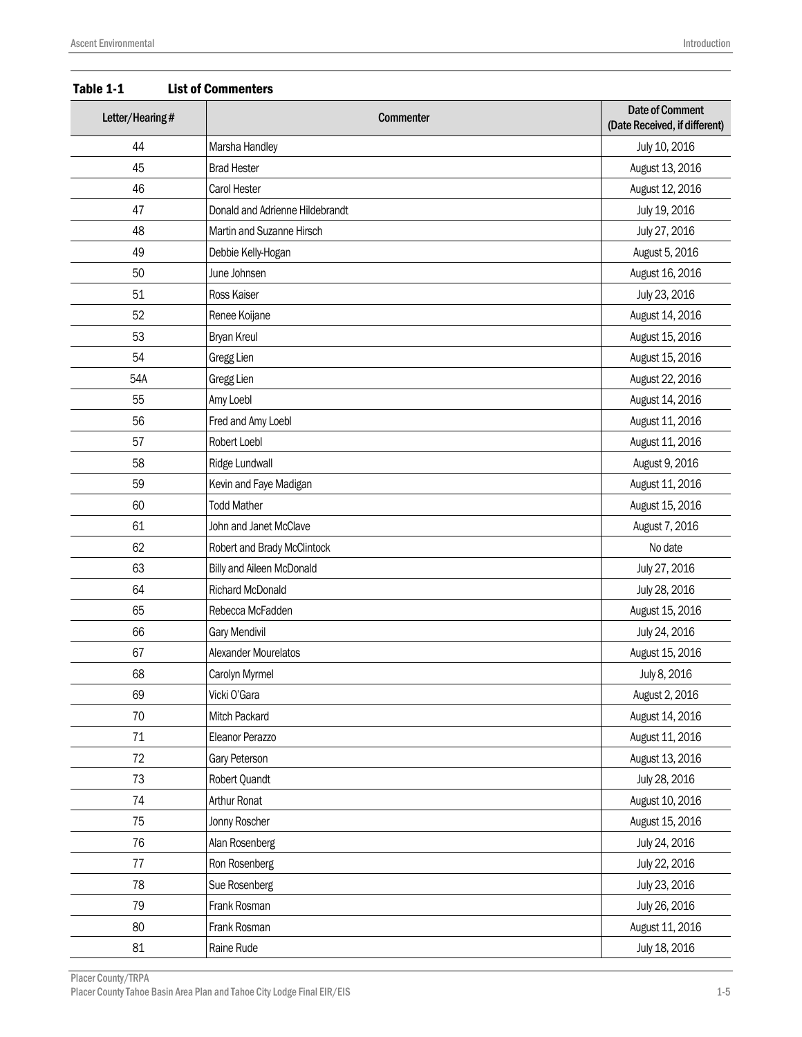| Letter/Hearing# | <b>Commenter</b>                | <b>Date of Comment</b><br>(Date Received, if different) |
|-----------------|---------------------------------|---------------------------------------------------------|
| 44              | Marsha Handley                  | July 10, 2016                                           |
| 45              | <b>Brad Hester</b>              | August 13, 2016                                         |
| 46              | Carol Hester                    | August 12, 2016                                         |
| 47              | Donald and Adrienne Hildebrandt | July 19, 2016                                           |
| 48              | Martin and Suzanne Hirsch       | July 27, 2016                                           |
| 49              | Debbie Kelly-Hogan              | August 5, 2016                                          |
| 50              | June Johnsen                    | August 16, 2016                                         |
| 51              | Ross Kaiser                     | July 23, 2016                                           |
| 52              | Renee Koijane                   | August 14, 2016                                         |
| 53              | <b>Bryan Kreul</b>              | August 15, 2016                                         |
| 54              | <b>Gregg Lien</b>               | August 15, 2016                                         |
| 54A             | Gregg Lien                      | August 22, 2016                                         |
| 55              | Amy Loebl                       | August 14, 2016                                         |
| 56              | Fred and Amy Loebl              | August 11, 2016                                         |
| 57              | Robert Loebl                    | August 11, 2016                                         |
| 58              | Ridge Lundwall                  | August 9, 2016                                          |
| 59              | Kevin and Faye Madigan          | August 11, 2016                                         |
| 60              | <b>Todd Mather</b>              | August 15, 2016                                         |
| 61              | John and Janet McClave          | August 7, 2016                                          |
| 62              | Robert and Brady McClintock     | No date                                                 |
| 63              | Billy and Aileen McDonald       | July 27, 2016                                           |
| 64              | Richard McDonald                | July 28, 2016                                           |
| 65              | Rebecca McFadden                | August 15, 2016                                         |
| 66              | Gary Mendivil                   | July 24, 2016                                           |
| 67              | Alexander Mourelatos            | August 15, 2016                                         |
| 68              | Carolyn Myrmel                  | July 8, 2016                                            |
| 69              | Vicki O'Gara                    | August 2, 2016                                          |
| $70\,$          | Mitch Packard                   | August 14, 2016                                         |
| 71              | Eleanor Perazzo                 | August 11, 2016                                         |
| 72              | Gary Peterson                   | August 13, 2016                                         |
| 73              | Robert Quandt                   | July 28, 2016                                           |
| 74              | Arthur Ronat                    | August 10, 2016                                         |
| 75              | Jonny Roscher                   | August 15, 2016                                         |
| 76              | Alan Rosenberg                  | July 24, 2016                                           |
| 77              | Ron Rosenberg                   | July 22, 2016                                           |
| 78              | Sue Rosenberg                   | July 23, 2016                                           |
| 79              | Frank Rosman                    | July 26, 2016                                           |
| 80              | Frank Rosman                    | August 11, 2016                                         |
| 81              | Raine Rude                      | July 18, 2016                                           |

Table 1-1 List of Commenters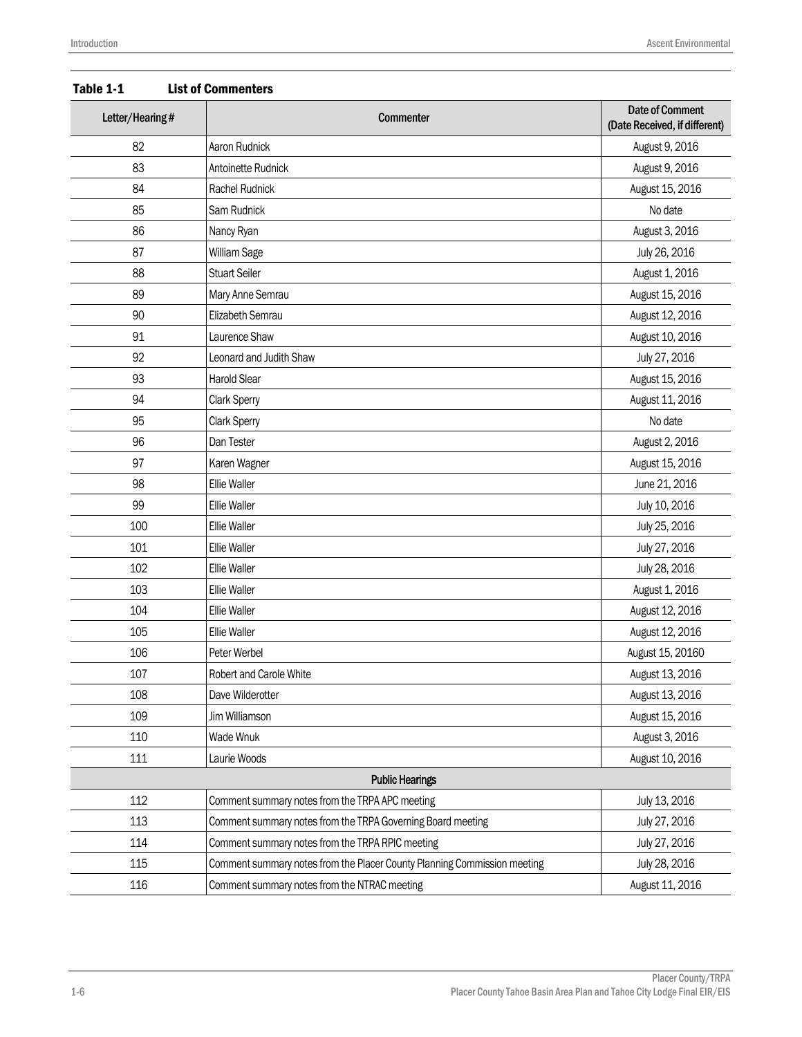| Letter/Hearing# | <b>Commenter</b>                                                         | <b>Date of Comment</b><br>(Date Received, if different) |
|-----------------|--------------------------------------------------------------------------|---------------------------------------------------------|
| 82              | Aaron Rudnick                                                            | August 9, 2016                                          |
| 83              | Antoinette Rudnick                                                       | August 9, 2016                                          |
| 84              | Rachel Rudnick                                                           | August 15, 2016                                         |
| 85              | Sam Rudnick                                                              | No date                                                 |
| 86              | Nancy Ryan                                                               | August 3, 2016                                          |
| 87              | William Sage                                                             | July 26, 2016                                           |
| 88              | <b>Stuart Seiler</b>                                                     | August 1, 2016                                          |
| 89              | Mary Anne Semrau                                                         | August 15, 2016                                         |
| 90              | Elizabeth Semrau                                                         | August 12, 2016                                         |
| 91              | Laurence Shaw                                                            | August 10, 2016                                         |
| 92              | Leonard and Judith Shaw                                                  | July 27, 2016                                           |
| 93              | <b>Harold Slear</b>                                                      | August 15, 2016                                         |
| 94              | Clark Sperry                                                             | August 11, 2016                                         |
| 95              | Clark Sperry                                                             | No date                                                 |
| 96              | Dan Tester                                                               | August 2, 2016                                          |
| 97              | Karen Wagner                                                             | August 15, 2016                                         |
| 98              | Ellie Waller                                                             | June 21, 2016                                           |
| 99              | <b>Ellie Waller</b>                                                      | July 10, 2016                                           |
| 100             | <b>Ellie Waller</b>                                                      | July 25, 2016                                           |
| 101             | <b>Ellie Waller</b>                                                      | July 27, 2016                                           |
| 102             | <b>Ellie Waller</b>                                                      | July 28, 2016                                           |
| 103             | <b>Ellie Waller</b>                                                      | August 1, 2016                                          |
| 104             | <b>Ellie Waller</b>                                                      | August 12, 2016                                         |
| 105             | <b>Ellie Waller</b>                                                      | August 12, 2016                                         |
| 106             | Peter Werbel                                                             | August 15, 20160                                        |
| 107             | Robert and Carole White                                                  | August 13, 2016                                         |
| 108             | Dave Wilderotter                                                         | August 13, 2016                                         |
| 109             | Jim Williamson                                                           | August 15, 2016                                         |
| 110             | Wade Wnuk                                                                | August 3, 2016                                          |
| 111             | Laurie Woods                                                             | August 10, 2016                                         |
|                 | <b>Public Hearings</b>                                                   |                                                         |
| 112             | Comment summary notes from the TRPA APC meeting                          | July 13, 2016                                           |
| 113             | Comment summary notes from the TRPA Governing Board meeting              | July 27, 2016                                           |
| 114             | Comment summary notes from the TRPA RPIC meeting                         | July 27, 2016                                           |
| 115             | Comment summary notes from the Placer County Planning Commission meeting | July 28, 2016                                           |
| 116             | Comment summary notes from the NTRAC meeting                             | August 11, 2016                                         |

Table 1-1 List of Commenters